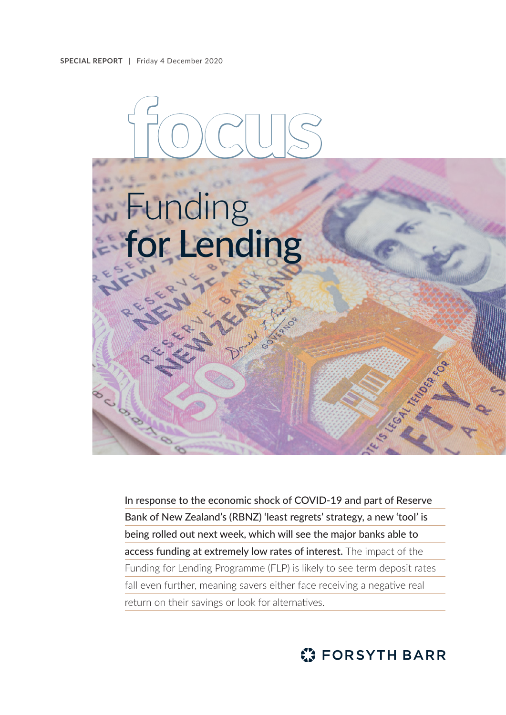

In response to the economic shock of COVID-19 and part of Reserve Bank of New Zealand's (RBNZ) 'least regrets' strategy, a new 'tool' is being rolled out next week, which will see the major banks able to access funding at extremely low rates of interest. The impact of the Funding for Lending Programme (FLP) is likely to see term deposit rates fall even further, meaning savers either face receiving a negative real return on their savings or look for alternatives.

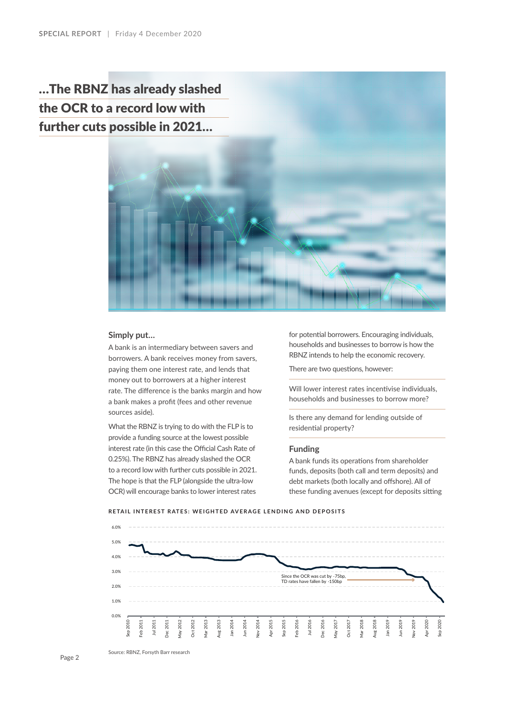…The RBNZ has already slashed the OCR to a record low with further cuts possible in 2021…



### **Simply put…**

A bank is an intermediary between savers and borrowers. A bank receives money from savers, paying them one interest rate, and lends that money out to borrowers at a higher interest rate. The difference is the banks margin and how a bank makes a profit (fees and other revenue sources aside).

What the RBNZ is trying to do with the FLP is to provide a funding source at the lowest possible interest rate (in this case the Official Cash Rate of 0.25%). The RBNZ has already slashed the OCR to a record low with further cuts possible in 2021. The hope is that the FLP (alongside the ultra-low OCR) will encourage banks to lower interest rates

for potential borrowers. Encouraging individuals, households and businesses to borrow is how the RBNZ intends to help the economic recovery.

There are two questions, however:

Will lower interest rates incentivise individuals, households and businesses to borrow more?

Is there any demand for lending outside of residential property?

#### **Funding**

A bank funds its operations from shareholder funds, deposits (both call and term deposits) and debt markets (both locally and offshore). All of these funding avenues (except for deposits sitting





Page 2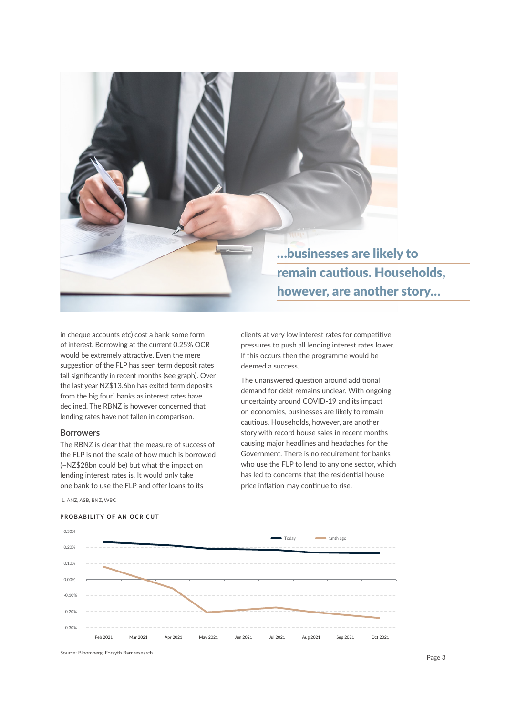

in cheque accounts etc) cost a bank some form of interest. Borrowing at the current 0.25% OCR would be extremely attractive. Even the mere suggestion of the FLP has seen term deposit rates fall significantly in recent months (see graph). Over the last year NZ\$13.6bn has exited term deposits from the big four $1$  banks as interest rates have declined. The RBNZ is however concerned that lending rates have not fallen in comparison.

# **Borrowers**

The RBNZ is clear that the measure of success of the FLP is not the scale of how much is borrowed (~NZ\$28bn could be) but what the impact on lending interest rates is. It would only take one bank to use the FLP and offer loans to its

clients at very low interest rates for competitive pressures to push all lending interest rates lower. If this occurs then the programme would be deemed a success.

The unanswered question around additional demand for debt remains unclear. With ongoing uncertainty around COVID-19 and its impact on economies, businesses are likely to remain cautious. Households, however, are another story with record house sales in recent months causing major headlines and headaches for the Government. There is no requirement for banks who use the FLP to lend to any one sector, which has led to concerns that the residential house price inflation may continue to rise.

1. ANZ, ASB, BNZ, WBC

#### **PROBABILITY OF AN OCR CUT**